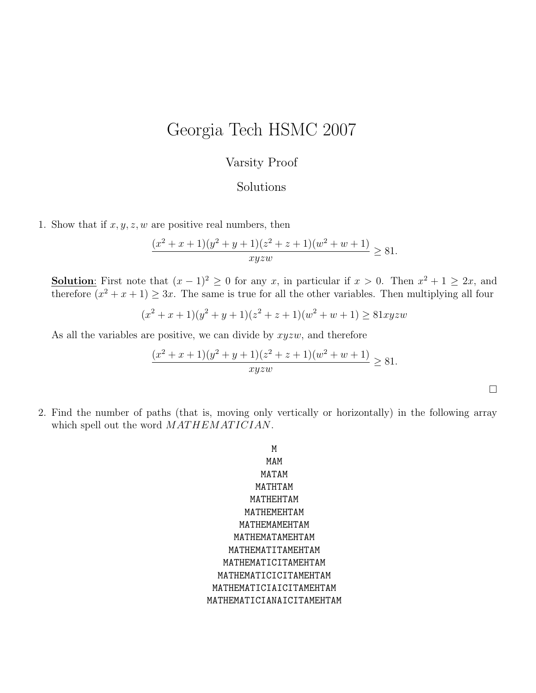## Georgia Tech HSMC 2007

## Varsity Proof

## Solutions

1. Show that if  $x, y, z, w$  are positive real numbers, then

$$
\frac{(x^2+x+1)(y^2+y+1)(z^2+z+1)(w^2+w+1)}{xyzw} \ge 81.
$$

**Solution**: First note that  $(x - 1)^2 \ge 0$  for any x, in particular if  $x > 0$ . Then  $x^2 + 1 \ge 2x$ , and therefore  $(x^2 + x + 1) \ge 3x$ . The same is true for all the other variables. Then multiplying all four

$$
(x2 + x + 1)(y2 + y + 1)(z2 + z + 1)(w2 + w + 1) \ge 81xyzw
$$

As all the variables are positive, we can divide by  $xyzw$ , and therefore

$$
\frac{(x^2+x+1)(y^2+y+1)(z^2+z+1)(w^2+w+1)}{xyzw} \ge 81.
$$

 $\Box$ 

2. Find the number of paths (that is, moving only vertically or horizontally) in the following array which spell out the word  $MAT HEMAT ICIAN$ .

$$
\begin{matrix}\mathtt{M}\\ \mathtt{M} \\ \mathtt{M} \\ \mathtt{M} \\ \mathtt{M} \\ \mathtt{M} \\ \mathtt{M} \\ \mathtt{M} \\ \mathtt{M} \\ \mathtt{M} \\ \mathtt{M} \\ \mathtt{M} \\ \mathtt{M} \\ \mathtt{M} \\ \mathtt{M} \\ \mathtt{M} \\ \mathtt{M} \\ \mathtt{M} \\ \mathtt{M} \\ \mathtt{M} \\ \mathtt{M} \\ \mathtt{M} \\ \mathtt{M} \\ \mathtt{M} \\ \mathtt{M} \\ \mathtt{M} \\ \mathtt{M} \\ \mathtt{M} \\ \mathtt{M} \\ \mathtt{M} \\ \mathtt{M} \\ \mathtt{M} \\ \mathtt{M} \\ \mathtt{M} \\ \mathtt{M} \\ \mathtt{M} \\ \mathtt{M} \\ \mathtt{M} \\ \mathtt{M} \\ \mathtt{M} \\ \mathtt{M} \\ \mathtt{M} \\ \mathtt{M} \\ \mathtt{M} \\ \mathtt{M} \\ \mathtt{M} \\ \mathtt{M} \\ \mathtt{M} \\ \mathtt{M} \\ \mathtt{M} \\ \mathtt{M} \\ \mathtt{M} \\ \mathtt{M} \\ \mathtt{M} \\ \mathtt{M} \\ \mathtt{M} \\ \mathtt{M} \\ \mathtt{M} \\ \mathtt{M} \\ \mathtt{M} \\ \mathtt{M} \\ \mathtt{M} \\ \mathtt{M} \\ \mathtt{M} \\ \mathtt{M} \\ \mathtt{M} \\ \mathtt{M} \\ \mathtt{M} \\ \mathtt{M} \\ \mathtt{M} \\ \mathtt{M} \\ \mathtt{M} \\ \mathtt{M} \\ \mathtt{M} \\ \mathtt{M} \\ \mathtt{M} \\ \mathtt{M} \\ \mathtt{M} \\ \mathtt{M} \\ \mathtt{M} \\ \mathtt{M} \\ \mathtt{M} \\ \mathtt{M} \\ \mathtt{M} \\ \mathtt{M} \\ \mathtt{M} \\ \mathtt{M} \\ \mathtt{M} \\ \mathtt{M} \\ \mathtt{M} \\ \mathtt{M} \\ \mathtt{M} \\ \mathtt{M} \\ \mathtt{M} \\ \mathtt{M} \\ \mathtt{M} \\ \mathtt{M} \\ \mathtt{M} \\ \mathtt{M} \\ \mathtt{M} \\ \mathtt{M} \\ \mathtt{M} \\ \mathtt{M} \\ \mathtt{M} \\ \mathtt{M} \\ \mathtt{M} \\ \mathtt{M} \\ \mathtt{M} \\ \
$$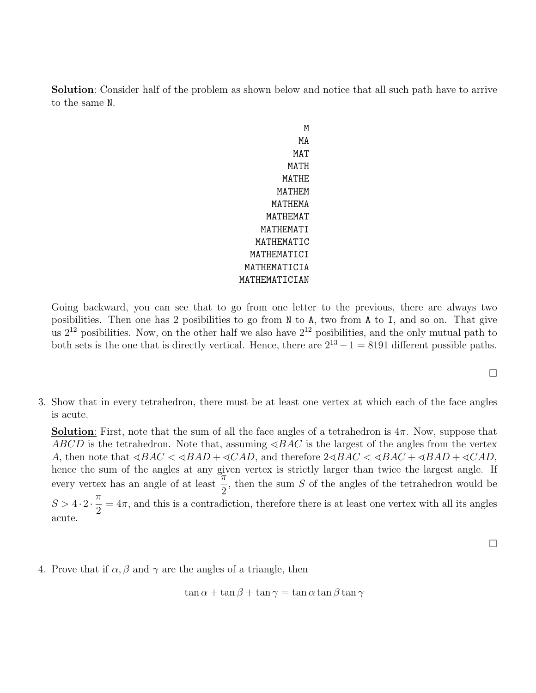Solution: Consider half of the problem as shown below and notice that all such path have to arrive to the same N.

> M MA MAT MATH MATHE MATHEM MATHEMA MATHEMAT MATHEMATI MATHEMATIC MATHEMATICI MATHEMATICIA MATHEMATICIAN

Going backward, you can see that to go from one letter to the previous, there are always two posibilities. Then one has 2 posibilities to go from N to A, two from A to I, and so on. That give us  $2^{12}$  posibilities. Now, on the other half we also have  $2^{12}$  posibilities, and the only mutual path to both sets is the one that is directly vertical. Hence, there are  $2^{13} - 1 = 8191$  different possible paths.

3. Show that in every tetrahedron, there must be at least one vertex at which each of the face angles is acute.

**Solution**: First, note that the sum of all the face angles of a tetrahedron is  $4\pi$ . Now, suppose that ABCD is the tetrahedron. Note that, assuming  $\triangle ABC$  is the largest of the angles from the vertex A, then note that  $\triangle ABC < \triangle ABD + \triangle ACD$ , and therefore  $2\triangle ABC < \triangle BAC + \triangle ABD + \triangle ACD$ , hence the sum of the angles at any given vertex is strictly larger than twice the largest angle. If every vertex has an angle of at least  $\frac{\pi}{2}$ 2 , then the sum S of the angles of the tetrahedron would be  $S > 4 \cdot 2 \cdot \frac{\pi}{2}$ 2  $= 4\pi$ , and this is a contradiction, therefore there is at least one vertex with all its angles acute.

 $\Box$ 

 $\Box$ 

4. Prove that if  $\alpha, \beta$  and  $\gamma$  are the angles of a triangle, then

$$
\tan \alpha + \tan \beta + \tan \gamma = \tan \alpha \tan \beta \tan \gamma
$$